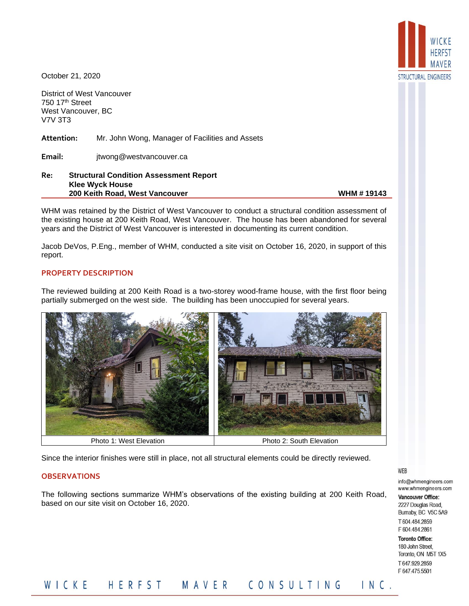

October 21, 2020

District of West Vancouver 750 17th Street West Vancouver, BC V7V 3T3

**Attention:** Mr. John Wong, Manager of Facilities and Assets

**Email:** jtwong@westvancouver.ca

**Re: Structural Condition Assessment Report Klee Wyck House 200 Keith Road, West Vancouver WHM # 19143** 

WHM was retained by the District of West Vancouver to conduct a structural condition assessment of the existing house at 200 Keith Road, West Vancouver. The house has been abandoned for several years and the District of West Vancouver is interested in documenting its current condition.

Jacob DeVos, P.Eng., member of WHM, conducted a site visit on October 16, 2020, in support of this report.

## **PROPERTY DESCRIPTION**

The reviewed building at 200 Keith Road is a two-storey wood-frame house, with the first floor being partially submerged on the west side. The building has been unoccupied for several years.



Since the interior finishes were still in place, not all structural elements could be directly reviewed.

#### **OBSERVATIONS**

The following sections summarize WHM's observations of the existing building at 200 Keith Road, based on our site visit on October 16, 2020.

#### WEB

info@whmengineers.com www.whmengineers.com

Vancouver Office: 2227 Douglas Road, Bumaby, BC V5C 5A9 T604.484.2859 F 604.484.2861

**Toronto Office:** 180 John Street. Toronto, ON M5T 1X5 T647.929.2859 F647.475.5501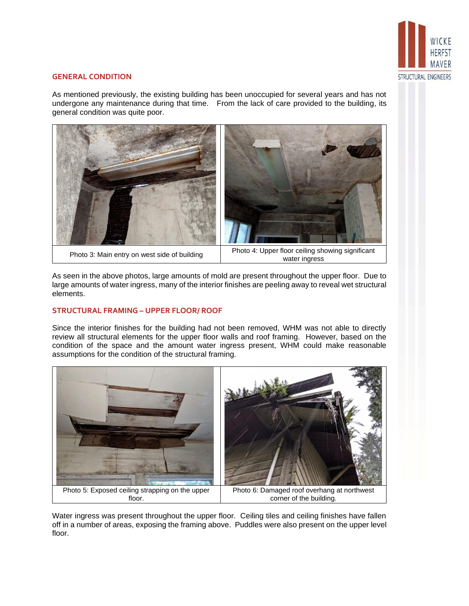

## **GENERAL CONDITION**

As mentioned previously, the existing building has been unoccupied for several years and has not undergone any maintenance during that time. From the lack of care provided to the building, its general condition was quite poor.



As seen in the above photos, large amounts of mold are present throughout the upper floor. Due to large amounts of water ingress, many of the interior finishes are peeling away to reveal wet structural elements.

## **STRUCTURAL FRAMING – UPPER FLOOR/ ROOF**

Since the interior finishes for the building had not been removed, WHM was not able to directly review all structural elements for the upper floor walls and roof framing. However, based on the condition of the space and the amount water ingress present, WHM could make reasonable assumptions for the condition of the structural framing.



Water ingress was present throughout the upper floor. Ceiling tiles and ceiling finishes have fallen off in a number of areas, exposing the framing above. Puddles were also present on the upper level floor.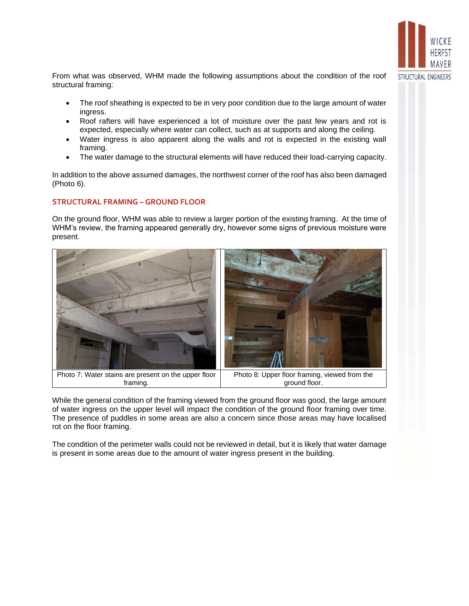

From what was observed, WHM made the following assumptions about the condition of the roof structural framing:

- The roof sheathing is expected to be in very poor condition due to the large amount of water ingress.
- Roof rafters will have experienced a lot of moisture over the past few years and rot is expected, especially where water can collect, such as at supports and along the ceiling.
- Water ingress is also apparent along the walls and rot is expected in the existing wall framing.
- The water damage to the structural elements will have reduced their load-carrying capacity.

In addition to the above assumed damages, the northwest corner of the roof has also been damaged (Photo 6).

# **STRUCTURAL FRAMING – GROUND FLOOR**

On the ground floor, WHM was able to review a larger portion of the existing framing. At the time of WHM's review, the framing appeared generally dry, however some signs of previous moisture were present.



While the general condition of the framing viewed from the ground floor was good, the large amount of water ingress on the upper level will impact the condition of the ground floor framing over time. The presence of puddles in some areas are also a concern since those areas may have localised rot on the floor framing.

The condition of the perimeter walls could not be reviewed in detail, but it is likely that water damage is present in some areas due to the amount of water ingress present in the building.